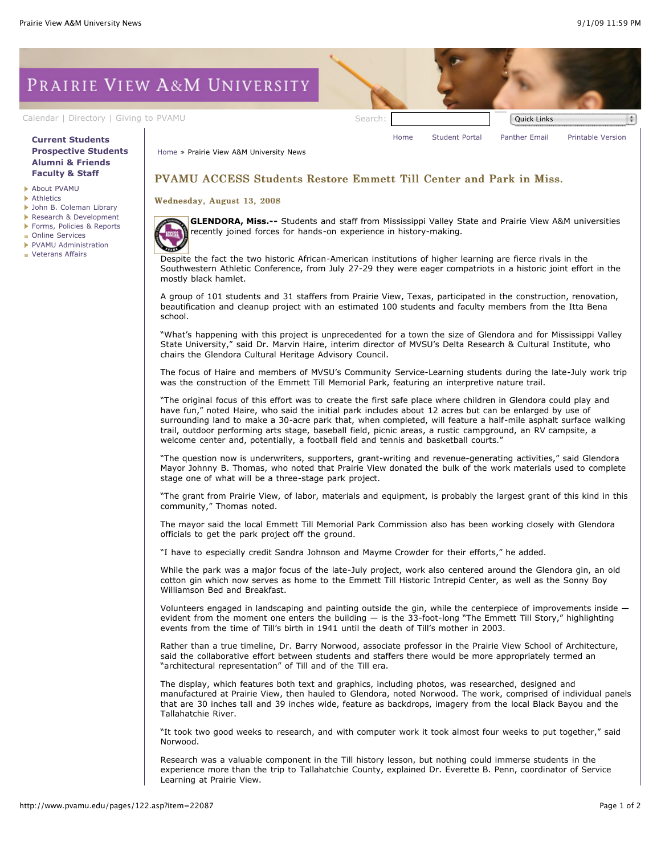# PRAIRIE VIEW A&M UNIVERSITY

## **[Current Students](http://www.pvamu.edu/pages/106.asp) [Prospective Students](http://www.pvamu.edu/pages/113.asp) [Alumni & Friends](http://www.pvamu.edu/pages/103.asp) [Faculty & Staff](http://www.pvamu.edu/pages/107.asp)**

- [About PVAMU](http://www.pvamu.edu/pages/119.asp)
- **[Athletics](http://www.pvamu.edu/pages/104.asp)**
- [John B. Coleman Library](http://www.pvamu.edu/pages/3585.asp)
- [Research & Development](http://www.pvamu.edu/pages/108.asp)
- [Forms, Policies & Reports](http://www.pvamu.edu/pages/5302.asp)
- [Online Services](http://www.pvamu.edu/pages/109.asp)
- [PVAMU Administration](http://www.pvamu.edu/pages/5303.asp)
- **[Veterans Affairs](http://www.pvamu.edu/pages/4721.asp)**

[Calendar](http://www.pvamu.edu/pages/105.asp) | [Directory](http://www.pvamu.edu/pages/225.asp) | [Giving to PVAMU](http://www.pvamu.edu/giving) Search: Search: Search: Quick Links [Home](http://www.pvamu.edu/pages/1.asp) [Student Portal](http://panthertracks.pvamu.edu/) [Panther Email](http://www.pvamu.edu/pages/1740.asp) [Printable Version](http://www.pvamu.edu/print/122.asp)

[Home](http://www.pvamu.edu/pages/1.asp) » Prairie View A&M University News

# PVAMU ACCESS Students Restore Emmett Till Center and Park in Miss.

#### Wednesday, August 13, 2008

**GLENDORA, Miss.--** Students and staff from Mississippi Valley State and Prairie View A&M universities recently joined forces for hands-on experience in history-making.

Despite the fact the two historic African-American institutions of higher learning are fierce rivals in the Southwestern Athletic Conference, from July 27-29 they were eager compatriots in a historic joint effort in the mostly black hamlet.

A group of 101 students and 31 staffers from Prairie View, Texas, participated in the construction, renovation, beautification and cleanup project with an estimated 100 students and faculty members from the Itta Bena school.

"What's happening with this project is unprecedented for a town the size of Glendora and for Mississippi Valley State University," said Dr. Marvin Haire, interim director of MVSU's Delta Research & Cultural Institute, who chairs the Glendora Cultural Heritage Advisory Council.

The focus of Haire and members of MVSU's Community Service-Learning students during the late-July work trip was the construction of the Emmett Till Memorial Park, featuring an interpretive nature trail.

"The original focus of this effort was to create the first safe place where children in Glendora could play and have fun," noted Haire, who said the initial park includes about 12 acres but can be enlarged by use of surrounding land to make a 30-acre park that, when completed, will feature a half-mile asphalt surface walking trail, outdoor performing arts stage, baseball field, picnic areas, a rustic campground, an RV campsite, a welcome center and, potentially, a football field and tennis and basketball courts."

"The question now is underwriters, supporters, grant-writing and revenue-generating activities," said Glendora Mayor Johnny B. Thomas, who noted that Prairie View donated the bulk of the work materials used to complete stage one of what will be a three-stage park project.

"The grant from Prairie View, of labor, materials and equipment, is probably the largest grant of this kind in this community," Thomas noted.

The mayor said the local Emmett Till Memorial Park Commission also has been working closely with Glendora officials to get the park project off the ground.

"I have to especially credit Sandra Johnson and Mayme Crowder for their efforts," he added.

While the park was a major focus of the late-July project, work also centered around the Glendora gin, an old cotton gin which now serves as home to the Emmett Till Historic Intrepid Center, as well as the Sonny Boy Williamson Bed and Breakfast.

Volunteers engaged in landscaping and painting outside the gin, while the centerpiece of improvements inside evident from the moment one enters the building — is the 33-foot-long "The Emmett Till Story," highlighting events from the time of Till's birth in 1941 until the death of Till's mother in 2003.

Rather than a true timeline, Dr. Barry Norwood, associate professor in the Prairie View School of Architecture, said the collaborative effort between students and staffers there would be more appropriately termed an "architectural representation" of Till and of the Till era.

The display, which features both text and graphics, including photos, was researched, designed and manufactured at Prairie View, then hauled to Glendora, noted Norwood. The work, comprised of individual panels that are 30 inches tall and 39 inches wide, feature as backdrops, imagery from the local Black Bayou and the Tallahatchie River.

"It took two good weeks to research, and with computer work it took almost four weeks to put together," said Norwood.

Research was a valuable component in the Till history lesson, but nothing could immerse students in the experience more than the trip to Tallahatchie County, explained Dr. Everette B. Penn, coordinator of Service Learning at Prairie View.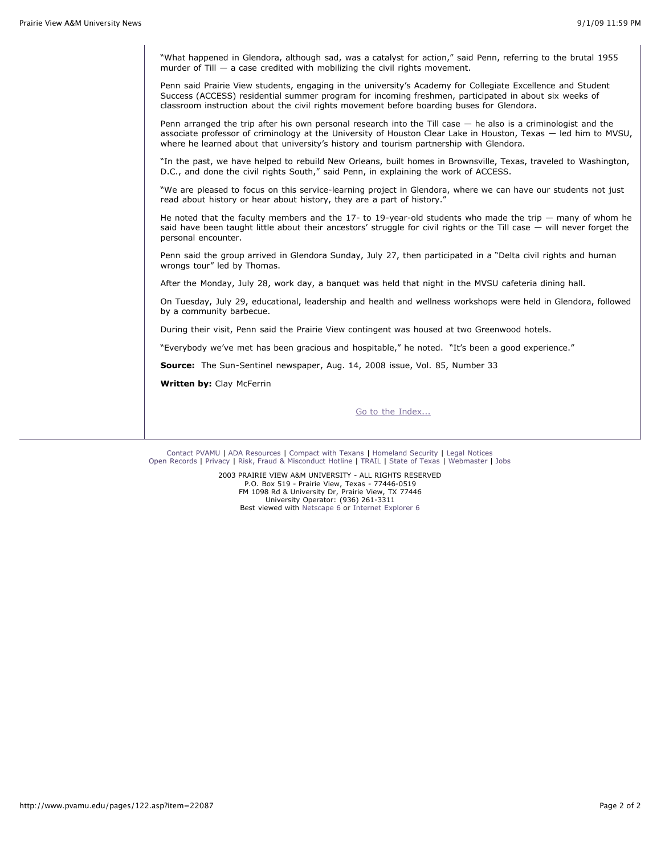"What happened in Glendora, although sad, was a catalyst for action," said Penn, referring to the brutal 1955 murder of Till  $-$  a case credited with mobilizing the civil rights movement.

Penn said Prairie View students, engaging in the university's Academy for Collegiate Excellence and Student Success (ACCESS) residential summer program for incoming freshmen, participated in about six weeks of classroom instruction about the civil rights movement before boarding buses for Glendora.

Penn arranged the trip after his own personal research into the Till case — he also is a criminologist and the associate professor of criminology at the University of Houston Clear Lake in Houston, Texas — led him to MVSU, where he learned about that university's history and tourism partnership with Glendora.

"In the past, we have helped to rebuild New Orleans, built homes in Brownsville, Texas, traveled to Washington, D.C., and done the civil rights South," said Penn, in explaining the work of ACCESS.

"We are pleased to focus on this service-learning project in Glendora, where we can have our students not just read about history or hear about history, they are a part of history.

He noted that the faculty members and the 17- to 19-year-old students who made the trip — many of whom he said have been taught little about their ancestors' struggle for civil rights or the Till case  $-$  will never forget the personal encounter.

Penn said the group arrived in Glendora Sunday, July 27, then participated in a "Delta civil rights and human wrongs tour" led by Thomas.

After the Monday, July 28, work day, a banquet was held that night in the MVSU cafeteria dining hall.

On Tuesday, July 29, educational, leadership and health and wellness workshops were held in Glendora, followed by a community barbecue.

During their visit, Penn said the Prairie View contingent was housed at two Greenwood hotels.

"Everybody we've met has been gracious and hospitable," he noted. "It's been a good experience."

**Source:** The Sun-Sentinel newspaper, Aug. 14, 2008 issue, Vol. 85, Number 33

**Written by:** Clay McFerrin

[Go to the Index...](http://www.pvamu.edu/pages/122.asp)

[Contact PVAMU](http://www.pvamu.edu/pages/2928.asp) | [ADA Resources](http://www.pvamu.edu/pages/4016.asp) | [Compact with Texans](http://www.pvamu.edu/pages/275.asp) | [Homeland Security](http://www.texashomelandsecurity.com/) | [Legal Notices](http://www.educause.edu/issues/dmca.html) [Open Records](http://www.pvamu.edu/pages/1058.asp) | [Privacy](http://www.pvamu.edu/pages/277.asp) | [Risk, Fraud & Misconduct Hotline](http://www.pvamu.edu/pages/5894.asp) | [TRAIL](http://www.tsl.state.tx.us/trail/index.html) | [State of Texas](http://www.state.tx.us/) | [Webmaster](mailto:webmaster@pvamu.edu) | [Jobs](http://www.pvamu.edu/jobs)

> 2003 PRAIRIE VIEW A&M UNIVERSITY - ALL RIGHTS RESERVED P.O. Box 519 - Prairie View, Texas - 77446-0519 FM 1098 Rd & University Dr, Prairie View, TX 77446 University Operator: (936) 261-3311 Best viewed with [Netscape 6](http://channels.netscape.com/ns/browsers/download.jsp) or [Internet Explorer 6](http://www.microsoft.com/downloads/details.aspx?FamilyID=1e1550cb-5e5d-48f5-b02b-20b602228de6&displaylang=en)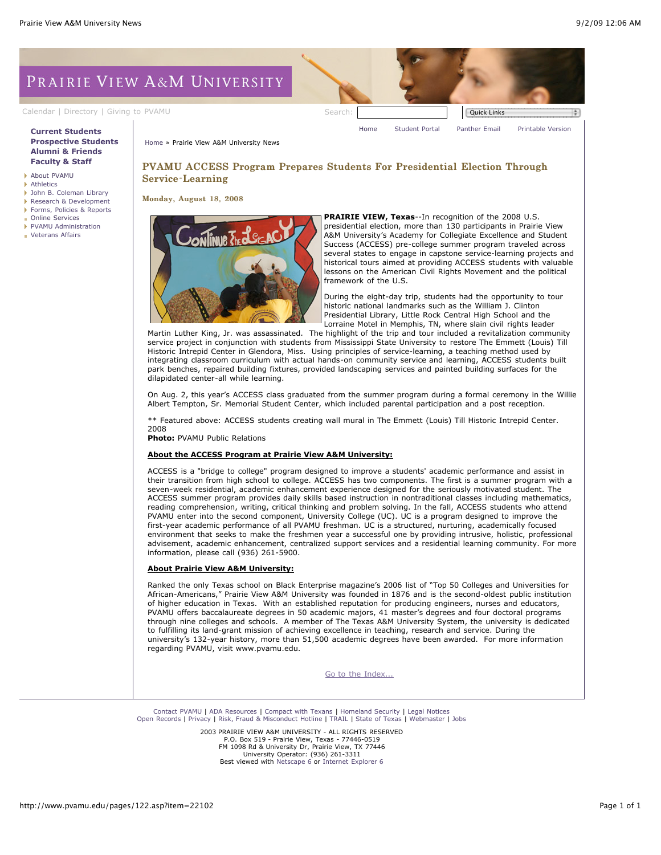# PRAIRIE VIEW A&M UNIVERSITY

[Calendar](http://www.pvamu.edu/pages/105.asp) | [Directory](http://www.pvamu.edu/pages/225.asp) | [Giving to PVAMU](http://www.pvamu.edu/giving) Search: Search: Search: Quick Links

### **[Current Students](http://www.pvamu.edu/pages/106.asp) [Prospective Students](http://www.pvamu.edu/pages/113.asp) [Alumni & Friends](http://www.pvamu.edu/pages/103.asp) [Faculty & Staff](http://www.pvamu.edu/pages/107.asp)**

- [About PVAMU](http://www.pvamu.edu/pages/119.asp)
- [Athletics](http://www.pvamu.edu/pages/104.asp)
- [John B. Coleman Library](http://www.pvamu.edu/pages/3585.asp) [Research & Development](http://www.pvamu.edu/pages/108.asp)
- 
- [Forms, Policies & Reports](http://www.pvamu.edu/pages/5302.asp) [Online Services](http://www.pvamu.edu/pages/109.asp)
- [PVAMU Administration](http://www.pvamu.edu/pages/5303.asp)
- 
- [Veterans Affairs](http://www.pvamu.edu/pages/4721.asp)

[Home](http://www.pvamu.edu/pages/1.asp) [Student Portal](http://panthertracks.pvamu.edu/) [Panther Email](http://www.pvamu.edu/pages/1740.asp) [Printable Version](http://www.pvamu.edu/print/122.asp)

[Home](http://www.pvamu.edu/pages/1.asp) » Prairie View A&M University News

# PVAMU ACCESS Program Prepares Students For Presidential Election Through Service-Learning

Monday, August 18, 2008



**PRAIRIE VIEW, Texas**--In recognition of the 2008 U.S. presidential election, more than 130 participants in Prairie View A&M University's Academy for Collegiate Excellence and Student Success (ACCESS) pre-college summer program traveled across several states to engage in capstone service-learning projects and historical tours aimed at providing ACCESS students with valuable lessons on the American Civil Rights Movement and the political framework of the U.S.

During the eight-day trip, students had the opportunity to tour historic national landmarks such as the William J. Clinton Presidential Library, Little Rock Central High School and the Lorraine Motel in Memphis, TN, where slain civil rights leader

Martin Luther King, Jr. was assassinated. The highlight of the trip and tour included a revitalization community service project in conjunction with students from Mississippi State University to restore The Emmett (Louis) Till Historic Intrepid Center in Glendora, Miss. Using principles of service-learning, a teaching method used by integrating classroom curriculum with actual hands-on community service and learning, ACCESS students built park benches, repaired building fixtures, provided landscaping services and painted building surfaces for the dilapidated center-all while learning.

On Aug. 2, this year's ACCESS class graduated from the summer program during a formal ceremony in the Willie Albert Tempton, Sr. Memorial Student Center, which included parental participation and a post reception.

\*\* Featured above: ACCESS students creating wall mural in The Emmett (Louis) Till Historic Intrepid Center. 2008

**Photo:** PVAMU Public Relations

#### **About the ACCESS Program at Prairie View A&M University:**

ACCESS is a "bridge to college" program designed to improve a students' academic performance and assist in their transition from high school to college. ACCESS has two components. The first is a summer program with a seven-week residential, academic enhancement experience designed for the seriously motivated student. The ACCESS summer program provides daily skills based instruction in nontraditional classes including mathematics, reading comprehension, writing, critical thinking and problem solving. In the fall, ACCESS students who attend PVAMU enter into the second component, University College (UC). UC is a program designed to improve the first-year academic performance of all PVAMU freshman. UC is a structured, nurturing, academically focused environment that seeks to make the freshmen year a successful one by providing intrusive, holistic, professional advisement, academic enhancement, centralized support services and a residential learning community. For more information, please call (936) 261-5900.

#### **About Prairie View A&M University:**

Ranked the only Texas school on Black Enterprise magazine's 2006 list of "Top 50 Colleges and Universities for African-Americans," Prairie View A&M University was founded in 1876 and is the second-oldest public institution of higher education in Texas. With an established reputation for producing engineers, nurses and educators, PVAMU offers baccalaureate degrees in 50 academic majors, 41 master's degrees and four doctoral programs through nine colleges and schools. A member of The Texas A&M University System, the university is dedicated to fulfilling its land-grant mission of achieving excellence in teaching, research and service. During the university's 132-year history, more than 51,500 academic degrees have been awarded. For more information regarding PVAMU, visit www.pvamu.edu.

[Go to the Index...](http://www.pvamu.edu/pages/122.asp)

[Contact PVAMU](http://www.pvamu.edu/pages/2928.asp) | [ADA Resources](http://www.pvamu.edu/pages/4016.asp) | [Compact with Texans](http://www.pvamu.edu/pages/275.asp) | [Homeland Security](http://www.texashomelandsecurity.com/) | [Legal Notices](http://www.educause.edu/issues/dmca.html) [Open Records](http://www.pvamu.edu/pages/1058.asp) | [Privacy](http://www.pvamu.edu/pages/277.asp) | [Risk, Fraud & Misconduct Hotline](http://www.pvamu.edu/pages/5894.asp) | [TRAIL](http://www.tsl.state.tx.us/trail/index.html) | [State of Texas](http://www.state.tx.us/) | [Webmaster](mailto:webmaster@pvamu.edu) | [Jobs](http://www.pvamu.edu/jobs)

> 2003 PRAIRIE VIEW A&M UNIVERSITY - ALL RIGHTS RESERVED P.O. Box 519 - Prairie View, Texas - 77446-0519 FM 1098 Rd & University Dr, Prairie View, TX 77446 University Operator: (936) 261-3311 Best viewed with [Netscape 6](http://channels.netscape.com/ns/browsers/download.jsp) or [Internet Explorer 6](http://www.microsoft.com/downloads/details.aspx?FamilyID=1e1550cb-5e5d-48f5-b02b-20b602228de6&displaylang=en)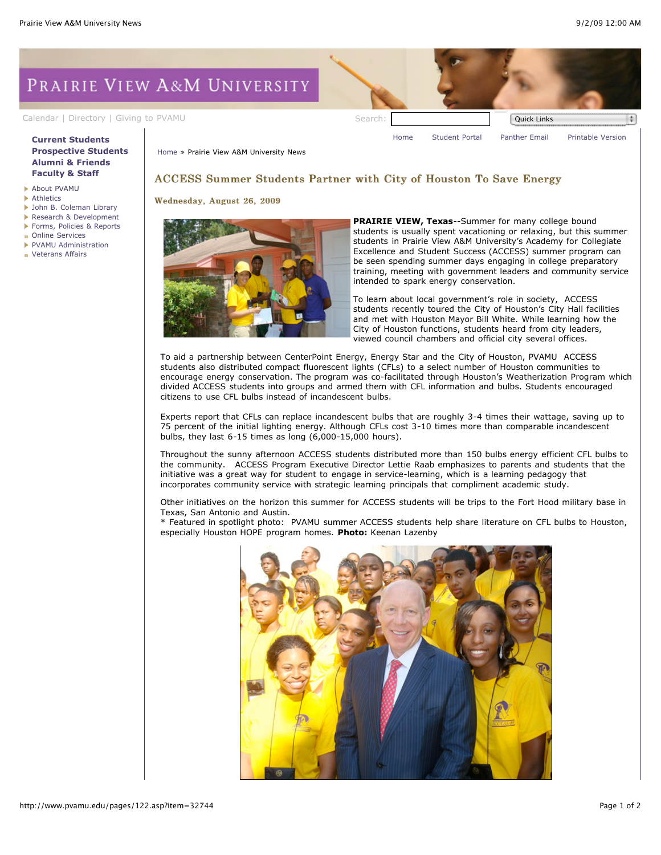# PRAIRIE VIEW A&M UNIVERSITY

[Calendar](http://www.pvamu.edu/pages/105.asp) | [Directory](http://www.pvamu.edu/pages/225.asp) | [Giving to PVAMU](http://www.pvamu.edu/giving) Search: Search: Calendar | Quick Links

## **[Current Students](http://www.pvamu.edu/pages/106.asp) [Prospective Students](http://www.pvamu.edu/pages/113.asp) [Alumni & Friends](http://www.pvamu.edu/pages/103.asp) [Faculty & Staff](http://www.pvamu.edu/pages/107.asp)**

- [About PVAMU](http://www.pvamu.edu/pages/119.asp)
- **[Athletics](http://www.pvamu.edu/pages/104.asp)**
- [John B. Coleman Library](http://www.pvamu.edu/pages/3585.asp)
- [Research & Development](http://www.pvamu.edu/pages/108.asp) [Forms, Policies & Reports](http://www.pvamu.edu/pages/5302.asp)
- [Online Services](http://www.pvamu.edu/pages/109.asp)
- [PVAMU Administration](http://www.pvamu.edu/pages/5303.asp)
- 

**[Veterans Affairs](http://www.pvamu.edu/pages/4721.asp)** 

[Home](http://www.pvamu.edu/pages/1.asp) [Student Portal](http://panthertracks.pvamu.edu/) [Panther Email](http://www.pvamu.edu/pages/1740.asp) [Printable Version](http://www.pvamu.edu/print/122.asp)

[Home](http://www.pvamu.edu/pages/1.asp) » Prairie View A&M University News

# ACCESS Summer Students Partner with City of Houston To Save Energy

Wednesday, August 26, 2009



**PRAIRIE VIEW, Texas**--Summer for many college bound students is usually spent vacationing or relaxing, but this summer students in Prairie View A&M University's Academy for Collegiate Excellence and Student Success (ACCESS) summer program can be seen spending summer days engaging in college preparatory training, meeting with government leaders and community service intended to spark energy conservation.

To learn about local government's role in society, ACCESS students recently toured the City of Houston's City Hall facilities and met with Houston Mayor Bill White. While learning how the City of Houston functions, students heard from city leaders, viewed council chambers and official city several offices.

To aid a partnership between CenterPoint Energy, Energy Star and the City of Houston, PVAMU ACCESS students also distributed compact fluorescent lights (CFLs) to a select number of Houston communities to encourage energy conservation. The program was co-facilitated through Houston's Weatherization Program which divided ACCESS students into groups and armed them with CFL information and bulbs. Students encouraged citizens to use CFL bulbs instead of incandescent bulbs.

Experts report that CFLs can replace incandescent bulbs that are roughly 3-4 times their wattage, saving up to 75 percent of the initial lighting energy. Although CFLs cost 3-10 times more than comparable incandescent bulbs, they last 6-15 times as long (6,000-15,000 hours).

Throughout the sunny afternoon ACCESS students distributed more than 150 bulbs energy efficient CFL bulbs to the community. ACCESS Program Executive Director Lettie Raab emphasizes to parents and students that the initiative was a great way for student to engage in service-learning, which is a learning pedagogy that incorporates community service with strategic learning principals that compliment academic study.

Other initiatives on the horizon this summer for ACCESS students will be trips to the Fort Hood military base in Texas, San Antonio and Austin.

\* Featured in spotlight photo: PVAMU summer ACCESS students help share literature on CFL bulbs to Houston, especially Houston HOPE program homes. **Photo:** Keenan Lazenby